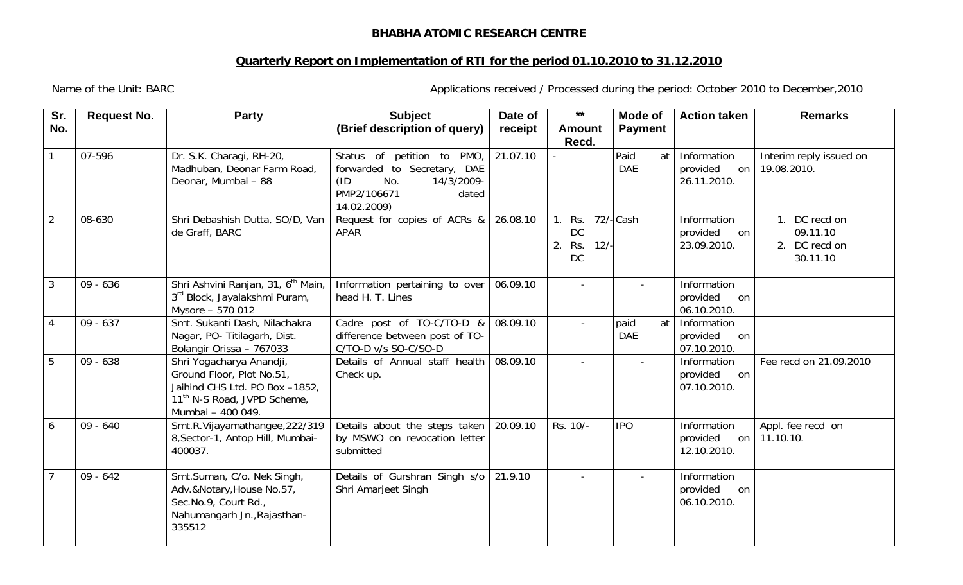## **BHABHA ATOMIC RESEARCH CENTRE**

## **Quarterly Report on Implementation of RTI for the period 01.10.2010 to 31.12.2010**

Name of the Unit: BARC **Applications received / Processed during the period: October 2010 to December, 2010** 

| Sr.<br>No.     | <b>Request No.</b> | <b>Party</b>                                                                                                                                            | <b>Subject</b><br>(Brief description of query)                                                                                | Date of<br>receipt | $***$<br><b>Amount</b><br>Recd.               | Mode of<br><b>Payment</b> | <b>Action taken</b>                            | <b>Remarks</b>                                         |
|----------------|--------------------|---------------------------------------------------------------------------------------------------------------------------------------------------------|-------------------------------------------------------------------------------------------------------------------------------|--------------------|-----------------------------------------------|---------------------------|------------------------------------------------|--------------------------------------------------------|
| $\mathbf{1}$   | 07-596             | Dr. S.K. Charagi, RH-20,<br>Madhuban, Deonar Farm Road,<br>Deonar, Mumbai - 88                                                                          | Status of petition to PMO,<br>forwarded to Secretary, DAE<br>(ID)<br>No.<br>14/3/2009-<br>PMP2/106671<br>dated<br>14.02.2009) | 21.07.10           |                                               | Paid<br>at<br><b>DAE</b>  | Information<br>provided<br>on<br>26.11.2010.   | Interim reply issued on<br>19.08.2010.                 |
| $\overline{2}$ | 08-630             | Shri Debashish Dutta, SO/D, Van<br>de Graff, BARC                                                                                                       | Request for copies of ACRs &<br><b>APAR</b>                                                                                   | 26.08.10           | 1. Rs. 72/-Cash<br>DC<br>2.<br>Rs. 12/-<br>DC |                           | Information<br>provided<br>on<br>23.09.2010.   | 1. DC recd on<br>09.11.10<br>2. DC recd on<br>30.11.10 |
| $\mathbf{3}$   | $09 - 636$         | Shri Ashvini Ranjan, 31, 6 <sup>th</sup> Main,<br>3rd Block, Jayalakshmi Puram,<br>Mysore - 570 012                                                     | Information pertaining to over<br>head H. T. Lines                                                                            | 06.09.10           |                                               | $\blacksquare$            | Information<br>provided<br>on<br>06.10.2010.   |                                                        |
| $\overline{4}$ | $09 - 637$         | Smt. Sukanti Dash, Nilachakra<br>Nagar, PO- Titilagarh, Dist.<br>Bolangir Orissa - 767033                                                               | Cadre post of TO-C/TO-D &<br>difference between post of TO-<br>C/TO-D v/s SO-C/SO-D                                           | 08.09.10           |                                               | at<br>paid<br><b>DAE</b>  | Information<br>provided<br>on<br>07.10.2010.   |                                                        |
| 5              | $09 - 638$         | Shri Yogacharya Anandji,<br>Ground Floor, Plot No.51,<br>Jaihind CHS Ltd. PO Box -1852,<br>11 <sup>th</sup> N-S Road, JVPD Scheme,<br>Mumbai - 400 049. | Details of Annual staff health<br>Check up.                                                                                   | 08.09.10           | $\sim$                                        | $\blacksquare$            | Information<br>provided<br>on<br>07.10.2010.   | Fee recd on 21.09.2010                                 |
| 6              | $09 - 640$         | Smt.R.Vijayamathangee, 222/319<br>8, Sector-1, Antop Hill, Mumbai-<br>400037.                                                                           | Details about the steps taken<br>by MSWO on revocation letter<br>submitted                                                    | 20.09.10           | Rs. 10/-                                      | <b>IPO</b>                | Information<br>provided<br>on  <br>12.10.2010. | Appl. fee recd on<br>11.10.10.                         |
| $\overline{7}$ | $09 - 642$         | Smt.Suman, C/o. Nek Singh,<br>Adv.&Notary, House No.57,<br>Sec.No.9, Court Rd.,<br>Nahumangarh Jn., Rajasthan-<br>335512                                | Details of Gurshran Singh s/o<br>Shri Amarjeet Singh                                                                          | 21.9.10            |                                               | $\overline{\phantom{a}}$  | Information<br>provided<br>on<br>06.10.2010.   |                                                        |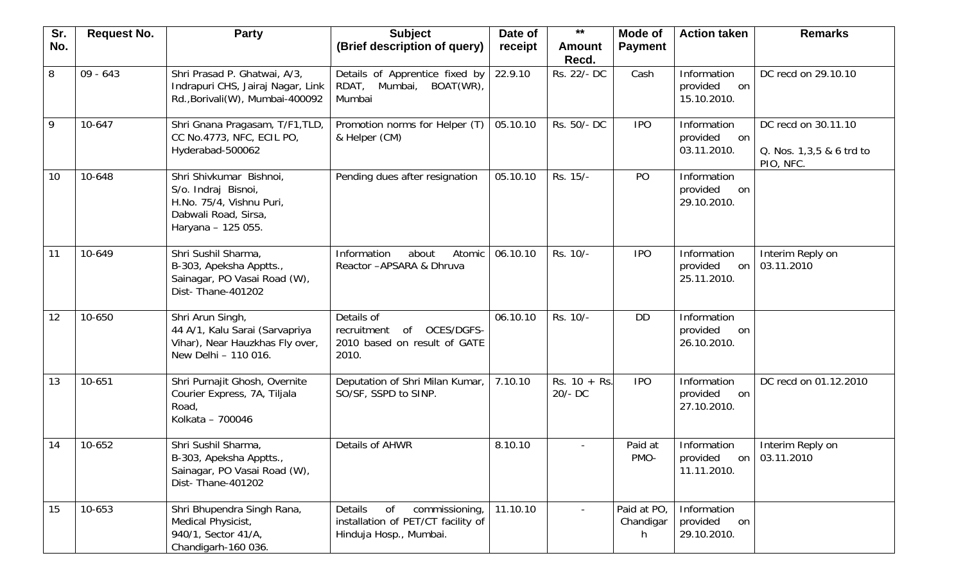| Sr. | <b>Request No.</b> | <b>Party</b>                                                                                                             | <b>Subject</b>                                                                                  | Date of  | $***$                       | Mode of                        | <b>Action taken</b>                          | <b>Remarks</b>                                               |
|-----|--------------------|--------------------------------------------------------------------------------------------------------------------------|-------------------------------------------------------------------------------------------------|----------|-----------------------------|--------------------------------|----------------------------------------------|--------------------------------------------------------------|
| No. |                    |                                                                                                                          | (Brief description of query)                                                                    | receipt  | <b>Amount</b><br>Recd.      | <b>Payment</b>                 |                                              |                                                              |
| 8   | $09 - 643$         | Shri Prasad P. Ghatwai, A/3,<br>Indrapuri CHS, Jairaj Nagar, Link<br>Rd., Borivali(W), Mumbai-400092                     | Details of Apprentice fixed by<br>BOAT(WR),<br>RDAT, Mumbai,<br>Mumbai                          | 22.9.10  | Rs. 22/- DC                 | Cash                           | Information<br>provided<br>on<br>15.10.2010. | DC recd on 29.10.10                                          |
| 9   | 10-647             | Shri Gnana Pragasam, T/F1, TLD,<br>CC No.4773, NFC, ECIL PO,<br>Hyderabad-500062                                         | Promotion norms for Helper (T)<br>& Helper (CM)                                                 | 05.10.10 | Rs. 50/- DC                 | <b>IPO</b>                     | Information<br>provided<br>on<br>03.11.2010. | DC recd on 30.11.10<br>Q. Nos. 1,3,5 & 6 trd to<br>PIO, NFC. |
| 10  | 10-648             | Shri Shivkumar Bishnoi,<br>S/o. Indraj Bisnoi,<br>H.No. 75/4, Vishnu Puri,<br>Dabwali Road, Sirsa,<br>Haryana - 125 055. | Pending dues after resignation                                                                  | 05.10.10 | Rs. 15/-                    | PO                             | Information<br>provided<br>on<br>29.10.2010. |                                                              |
| 11  | 10-649             | Shri Sushil Sharma,<br>B-303, Apeksha Apptts.,<br>Sainagar, PO Vasai Road (W),<br>Dist- Thane-401202                     | Information<br>about<br>Atomic<br>Reactor - APSARA & Dhruva                                     | 06.10.10 | Rs. 10/-                    | <b>IPO</b>                     | Information<br>provided<br>on<br>25.11.2010. | Interim Reply on<br>03.11.2010                               |
| 12  | 10-650             | Shri Arun Singh,<br>44 A/1, Kalu Sarai (Sarvapriya<br>Vihar), Near Hauzkhas Fly over,<br>New Delhi - 110 016.            | Details of<br>OCES/DGFS-<br>recruitment<br>of<br>2010 based on result of GATE<br>2010.          | 06.10.10 | Rs. 10/-                    | <b>DD</b>                      | Information<br>provided<br>on<br>26.10.2010. |                                                              |
| 13  | 10-651             | Shri Purnajit Ghosh, Overnite<br>Courier Express, 7A, Tiljala<br>Road,<br>Kolkata - 700046                               | Deputation of Shri Milan Kumar,<br>SO/SF, SSPD to SINP.                                         | 7.10.10  | $Rs. 10 + Rs.$<br>$20/- DC$ | <b>IPO</b>                     | Information<br>provided<br>on<br>27.10.2010. | DC recd on 01.12.2010                                        |
| 14  | 10-652             | Shri Sushil Sharma,<br>B-303, Apeksha Apptts.,<br>Sainagar, PO Vasai Road (W),<br>Dist-Thane-401202                      | Details of AHWR                                                                                 | 8.10.10  | $\overline{\phantom{a}}$    | Paid at<br>PMO-                | Information<br>provided<br>11.11.2010.       | Interim Reply on<br>on 03.11.2010                            |
| 15  | 10-653             | Shri Bhupendra Singh Rana,<br>Medical Physicist,<br>940/1, Sector 41/A,<br>Chandigarh-160 036.                           | Details<br>commissioning,<br>0f<br>installation of PET/CT facility of<br>Hinduja Hosp., Mumbai. | 11.10.10 |                             | Paid at PO,<br>Chandigar<br>h. | Information<br>provided<br>on<br>29.10.2010. |                                                              |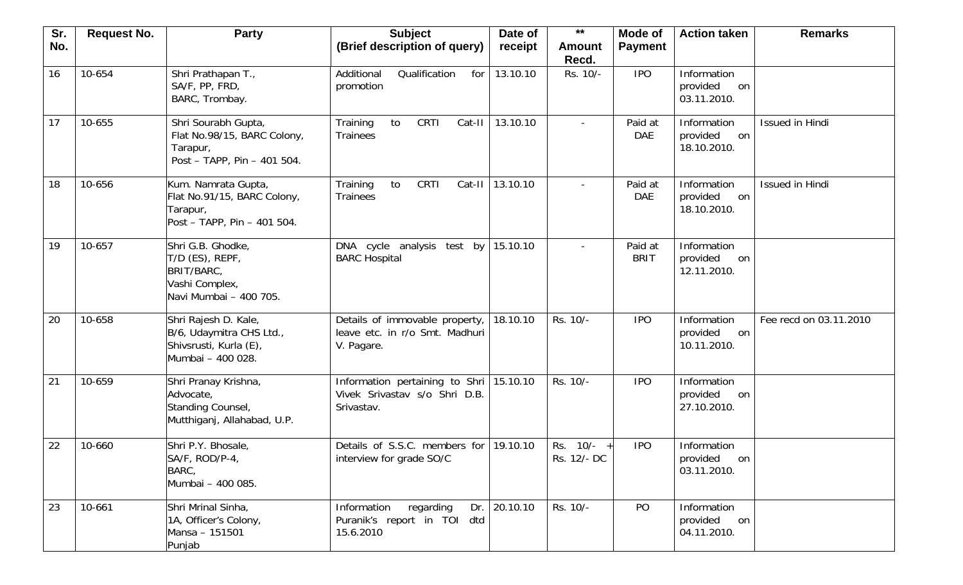| Sr. | <b>Request No.</b> | <b>Party</b>                                                                                    | <b>Subject</b>                                                                 | Date of  | $***$                       | Mode of                | <b>Action taken</b>                          | <b>Remarks</b>         |
|-----|--------------------|-------------------------------------------------------------------------------------------------|--------------------------------------------------------------------------------|----------|-----------------------------|------------------------|----------------------------------------------|------------------------|
| No. |                    |                                                                                                 | (Brief description of query)                                                   | receipt  | <b>Amount</b><br>Recd.      | <b>Payment</b>         |                                              |                        |
| 16  | 10-654             | Shri Prathapan T.,<br>SA/F, PP, FRD,<br>BARC, Trombay.                                          | Additional<br>Qualification<br>for<br>promotion                                | 13.10.10 | Rs. 10/-                    | <b>IPO</b>             | Information<br>provided<br>on<br>03.11.2010. |                        |
| 17  | 10-655             | Shri Sourabh Gupta,<br>Flat No.98/15, BARC Colony,<br>Tarapur,<br>Post - TAPP, Pin - 401 504.   | Training<br>CRTI<br>to<br>Cat-II<br><b>Trainees</b>                            | 13.10.10 |                             | Paid at<br><b>DAE</b>  | Information<br>provided<br>on<br>18.10.2010. | Issued in Hindi        |
| 18  | 10-656             | Kum. Namrata Gupta,<br>Flat No.91/15, BARC Colony,<br>Tarapur,<br>Post - TAPP, Pin - 401 504.   | Training<br>CRTI<br>Cat-II<br>to<br><b>Trainees</b>                            | 13.10.10 |                             | Paid at<br><b>DAE</b>  | Information<br>provided<br>on<br>18.10.2010. | Issued in Hindi        |
| 19  | 10-657             | Shri G.B. Ghodke,<br>T/D (ES), REPF,<br>BRIT/BARC,<br>Vashi Complex,<br>Navi Mumbai - 400 705.  | DNA cycle analysis test by<br><b>BARC Hospital</b>                             | 15.10.10 | $\overline{\phantom{a}}$    | Paid at<br><b>BRIT</b> | Information<br>provided<br>on<br>12.11.2010. |                        |
| 20  | 10-658             | Shri Rajesh D. Kale,<br>B/6, Udaymitra CHS Ltd.,<br>Shivsrusti, Kurla (E),<br>Mumbai - 400 028. | Details of immovable property,<br>leave etc. in r/o Smt. Madhuri<br>V. Pagare. | 18.10.10 | Rs. 10/-                    | <b>IPO</b>             | Information<br>provided<br>on<br>10.11.2010. | Fee recd on 03.11.2010 |
| 21  | 10-659             | Shri Pranay Krishna,<br>Advocate,<br>Standing Counsel,<br>Mutthiganj, Allahabad, U.P.           | Information pertaining to Shri<br>Vivek Srivastav s/o Shri D.B.<br>Srivastav.  | 15.10.10 | Rs. 10/-                    | <b>IPO</b>             | Information<br>provided<br>on<br>27.10.2010. |                        |
| 22  | 10-660             | Shri P.Y. Bhosale,<br>SA/F, ROD/P-4,<br>BARC,<br>Mumbai - 400 085.                              | Details of S.S.C. members for<br>interview for grade SO/C                      | 19.10.10 | Rs. $10/- +$<br>Rs. 12/- DC | <b>IPO</b>             | Information<br>provided<br>on<br>03.11.2010. |                        |
| 23  | 10-661             | Shri Mrinal Sinha,<br>1A, Officer's Colony,<br>Mansa - 151501<br>Punjab                         | Information<br>regarding<br>Dr.<br>Puranik's report in TOI dtd<br>15.6.2010    | 20.10.10 | Rs. 10/-                    | PO                     | Information<br>provided<br>on<br>04.11.2010. |                        |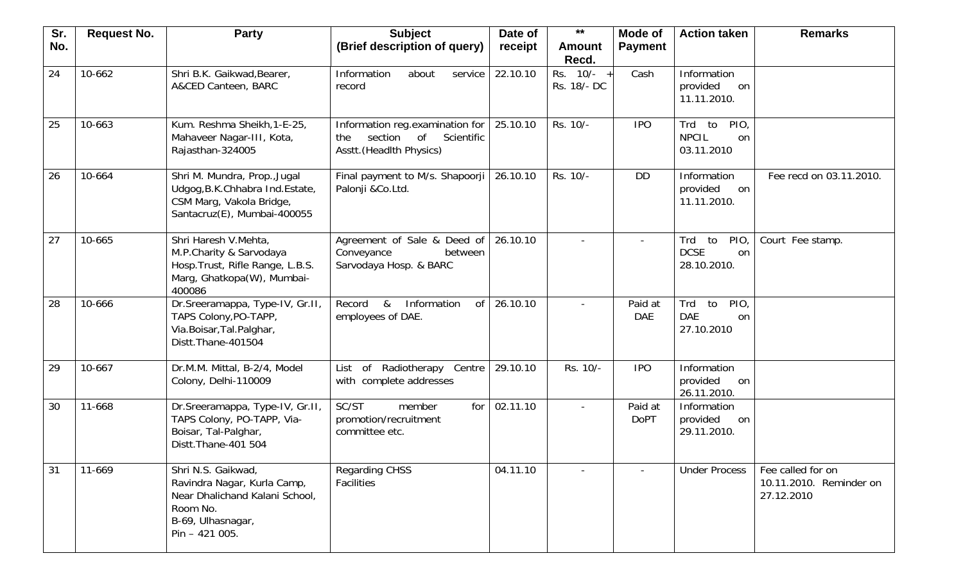| Sr. | <b>Request No.</b> | <b>Party</b>                                                                                                                            | <b>Subject</b>                                                                              | Date of  | $***$                     | Mode of                  | <b>Action taken</b>                                  | <b>Remarks</b>                                             |
|-----|--------------------|-----------------------------------------------------------------------------------------------------------------------------------------|---------------------------------------------------------------------------------------------|----------|---------------------------|--------------------------|------------------------------------------------------|------------------------------------------------------------|
| No. |                    |                                                                                                                                         | (Brief description of query)                                                                | receipt  | <b>Amount</b>             | <b>Payment</b>           |                                                      |                                                            |
|     |                    |                                                                                                                                         |                                                                                             |          | Recd.                     |                          |                                                      |                                                            |
| 24  | 10-662             | Shri B.K. Gaikwad, Bearer,<br>A&CED Canteen, BARC                                                                                       | Information<br>about<br>service<br>record                                                   | 22.10.10 | Rs. 10/- +<br>Rs. 18/- DC | Cash                     | Information<br>provided<br>on<br>11.11.2010.         |                                                            |
| 25  | 10-663             | Kum. Reshma Sheikh, 1-E-25,<br>Mahaveer Nagar-III, Kota,<br>Rajasthan-324005                                                            | Information reg.examination for<br>section of Scientific<br>the<br>Asstt. (Headlth Physics) | 25.10.10 | Rs. 10/-                  | <b>IPO</b>               | PIO<br>to<br>Trd<br><b>NPCIL</b><br>on<br>03.11.2010 |                                                            |
| 26  | 10-664             | Shri M. Mundra, Prop., Jugal<br>Udgog, B.K.Chhabra Ind.Estate,<br>CSM Marg, Vakola Bridge,<br>Santacruz(E), Mumbai-400055               | Final payment to M/s. Shapoorji<br>Palonji &Co.Ltd.                                         | 26.10.10 | Rs. 10/-                  | <b>DD</b>                | Information<br>provided<br>on<br>11.11.2010.         | Fee recd on 03.11.2010.                                    |
| 27  | 10-665             | Shri Haresh V.Mehta,<br>M.P.Charity & Sarvodaya<br>Hosp. Trust, Rifle Range, L.B.S.<br>Marg, Ghatkopa(W), Mumbai-<br>400086             | Agreement of Sale & Deed of<br>Conveyance<br>between<br>Sarvodaya Hosp. & BARC              | 26.10.10 |                           | $\overline{\phantom{a}}$ | to<br>Trd<br>PIO<br><b>DCSE</b><br>on<br>28.10.2010. | Court Fee stamp.                                           |
| 28  | 10-666             | Dr.Sreeramappa, Type-IV, Gr.II,<br>TAPS Colony, PO-TAPP,<br>Via.Boisar, Tal.Palghar,<br>Distt.Thane-401504                              | &<br>Information<br><sub>of</sub><br>Record<br>employees of DAE.                            | 26.10.10 |                           | Paid at<br><b>DAE</b>    | PIO<br>Trd<br>to<br><b>DAE</b><br>on<br>27.10.2010   |                                                            |
| 29  | 10-667             | Dr.M.M. Mittal, B-2/4, Model<br>Colony, Delhi-110009                                                                                    | of Radiotherapy Centre<br>List<br>with complete addresses                                   | 29.10.10 | Rs. 10/-                  | <b>IPO</b>               | Information<br>provided<br>on<br>26.11.2010.         |                                                            |
| 30  | 11-668             | Dr.Sreeramappa, Type-IV, Gr.II,<br>TAPS Colony, PO-TAPP, Via-<br>Boisar, Tal-Palghar,<br>Distt. Thane-401 504                           | SC/ST<br>for<br>member<br>promotion/recruitment<br>committee etc.                           | 02.11.10 |                           | Paid at<br><b>DoPT</b>   | Information<br>provided<br>on<br>29.11.2010.         |                                                            |
| 31  | 11-669             | Shri N.S. Gaikwad,<br>Ravindra Nagar, Kurla Camp,<br>Near Dhalichand Kalani School,<br>Room No.<br>B-69, Ulhasnagar,<br>$Pin - 421005.$ | <b>Regarding CHSS</b><br>Facilities                                                         | 04.11.10 |                           |                          | <b>Under Process</b>                                 | Fee called for on<br>10.11.2010. Reminder on<br>27.12.2010 |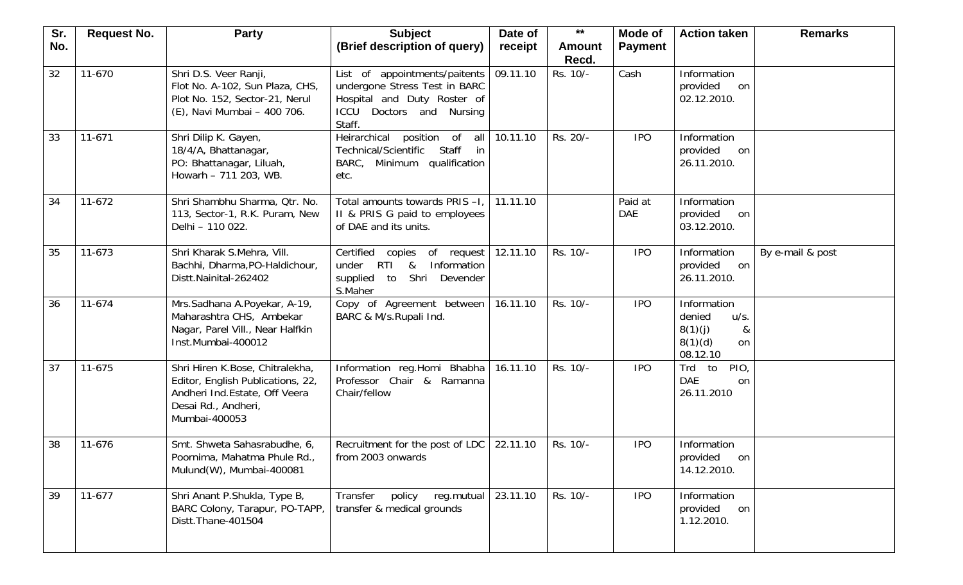| Sr. | <b>Request No.</b> | <b>Party</b>                                                                                                                                   | <b>Subject</b>                                                                                                                         | Date of  | $***$                  | Mode of               | <b>Action taken</b>                                                                   | <b>Remarks</b>   |
|-----|--------------------|------------------------------------------------------------------------------------------------------------------------------------------------|----------------------------------------------------------------------------------------------------------------------------------------|----------|------------------------|-----------------------|---------------------------------------------------------------------------------------|------------------|
| No. |                    |                                                                                                                                                | (Brief description of query)                                                                                                           | receipt  | <b>Amount</b><br>Recd. | <b>Payment</b>        |                                                                                       |                  |
| 32  | 11-670             | Shri D.S. Veer Ranji,<br>Flot No. A-102, Sun Plaza, CHS,<br>Plot No. 152, Sector-21, Nerul<br>(E), Navi Mumbai - 400 706.                      | List of appointments/paitents<br>undergone Stress Test in BARC<br>Hospital and Duty Roster of<br>Doctors and Nursing<br>ICCU<br>Staff. | 09.11.10 | Rs. 10/-               | Cash                  | Information<br>provided<br>on<br>02.12.2010.                                          |                  |
| 33  | $11 - 671$         | Shri Dilip K. Gayen,<br>18/4/A, Bhattanagar,<br>PO: Bhattanagar, Liluah,<br>Howarh - 711 203, WB.                                              | Heirarchical<br>position of<br>all<br>Staff<br>Technical/Scientific<br>in<br>BARC, Minimum qualification<br>etc.                       | 10.11.10 | Rs. 20/-               | <b>IPO</b>            | Information<br>provided<br>on<br>26.11.2010.                                          |                  |
| 34  | $11-672$           | Shri Shambhu Sharma, Qtr. No.<br>113, Sector-1, R.K. Puram, New<br>Delhi - 110 022.                                                            | Total amounts towards PRIS -I,<br>II & PRIS G paid to employees<br>of DAE and its units.                                               | 11.11.10 |                        | Paid at<br><b>DAE</b> | Information<br>provided<br>on<br>03.12.2010.                                          |                  |
| 35  | 11-673             | Shri Kharak S.Mehra, Vill.<br>Bachhi, Dharma, PO-Haldichour,<br>Distt.Nainital-262402                                                          | Certified copies of request<br>RTI &<br>Information<br>under<br>supplied to Shri<br>Devender<br>S.Maher                                | 12.11.10 | Rs. 10/-               | <b>IPO</b>            | Information<br>provided<br>on<br>26.11.2010.                                          | By e-mail & post |
| 36  | 11-674             | Mrs.Sadhana A.Poyekar, A-19,<br>Maharashtra CHS, Ambekar<br>Nagar, Parel Vill., Near Halfkin<br>Inst.Mumbai-400012                             | Copy of Agreement between<br>BARC & M/s.Rupali Ind.                                                                                    | 16.11.10 | Rs. 10/-               | <b>IPO</b>            | Information<br>denied<br>u/s.<br>8(1)(j)<br>&<br>8(1)(d)<br><sub>on</sub><br>08.12.10 |                  |
| 37  | 11-675             | Shri Hiren K.Bose, Chitralekha,<br>Editor, English Publications, 22,<br>Andheri Ind. Estate, Off Veera<br>Desai Rd., Andheri,<br>Mumbai-400053 | Information reg.Homi Bhabha<br>Professor Chair & Ramanna<br>Chair/fellow                                                               | 16.11.10 | Rs. 10/-               | <b>IPO</b>            | PIO,<br>Trd<br>to<br><b>DAE</b><br>on<br>26.11.2010                                   |                  |
| 38  | 11-676             | Smt. Shweta Sahasrabudhe, 6,<br>Poornima, Mahatma Phule Rd.,<br>Mulund(W), Mumbai-400081                                                       | Recruitment for the post of LDC<br>from 2003 onwards                                                                                   | 22.11.10 | Rs. 10/-               | <b>IPO</b>            | Information<br>provided<br>on<br>14.12.2010.                                          |                  |
| 39  | $11-677$           | Shri Anant P.Shukla, Type B,<br>BARC Colony, Tarapur, PO-TAPP,<br>Distt.Thane-401504                                                           | reg.mutual<br>Transfer<br>policy<br>transfer & medical grounds                                                                         | 23.11.10 | Rs. 10/-               | <b>IPO</b>            | Information<br>provided<br>on<br>1.12.2010.                                           |                  |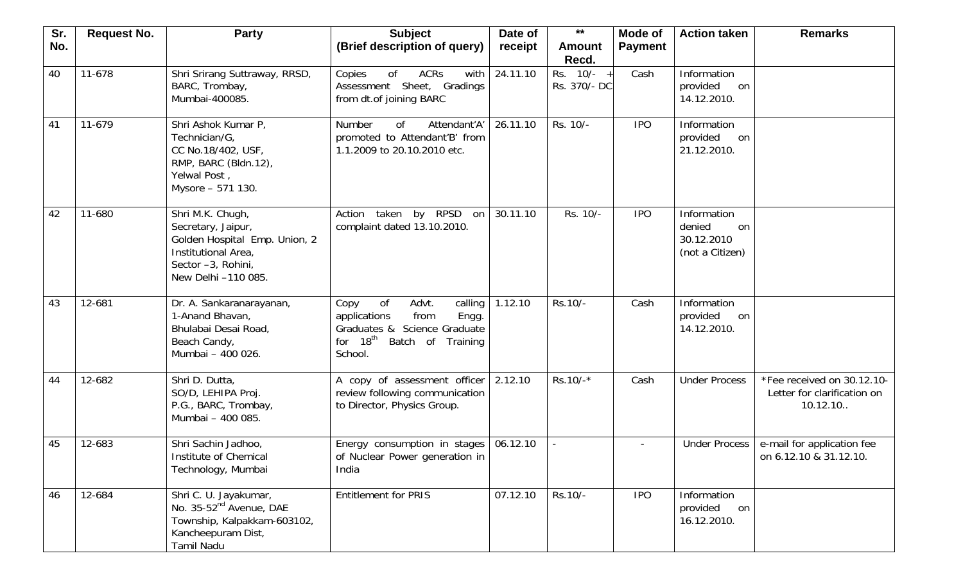| Sr. | <b>Request No.</b> | <b>Party</b>                                                                                                                                | <b>Subject</b>                                                                                                                                       | Date of  | $***$                        | Mode of        | <b>Action taken</b>                                          | <b>Remarks</b>                                                        |
|-----|--------------------|---------------------------------------------------------------------------------------------------------------------------------------------|------------------------------------------------------------------------------------------------------------------------------------------------------|----------|------------------------------|----------------|--------------------------------------------------------------|-----------------------------------------------------------------------|
| No. |                    |                                                                                                                                             | (Brief description of query)                                                                                                                         | receipt  | <b>Amount</b><br>Recd.       | <b>Payment</b> |                                                              |                                                                       |
| 40  | 11-678             | Shri Srirang Suttraway, RRSD,<br>BARC, Trombay,<br>Mumbai-400085.                                                                           | ACRs<br>of<br>with<br>Copies<br>Assessment Sheet, Gradings<br>from dt.of joining BARC                                                                | 24.11.10 | Rs. $10/- +$<br>Rs. 370/- DC | Cash           | Information<br>provided<br>on<br>14.12.2010.                 |                                                                       |
| 41  | 11-679             | Shri Ashok Kumar P,<br>Technician/G,<br>CC No.18/402, USF,<br>RMP, BARC (Bldn.12),<br>Yelwal Post,<br>Mysore - 571 130.                     | Number<br>Attendant'A'<br><b>of</b><br>promoted to Attendant'B' from<br>1.1.2009 to 20.10.2010 etc.                                                  | 26.11.10 | Rs. 10/-                     | <b>IPO</b>     | Information<br>provided<br>on<br>21.12.2010.                 |                                                                       |
| 42  | 11-680             | Shri M.K. Chugh,<br>Secretary, Jaipur,<br>Golden Hospital Emp. Union, 2<br>Institutional Area,<br>Sector -3, Rohini,<br>New Delhi -110 085. | Action taken by RPSD<br>on<br>complaint dated 13.10.2010.                                                                                            | 30.11.10 | Rs. 10/-                     | <b>IPO</b>     | Information<br>denied<br>on<br>30.12.2010<br>(not a Citizen) |                                                                       |
| 43  | 12-681             | Dr. A. Sankaranarayanan,<br>1-Anand Bhavan,<br>Bhulabai Desai Road,<br>Beach Candy,<br>Mumbai - 400 026.                                    | of<br>Advt.<br>calling<br>Copy<br>Engg.<br>applications<br>from<br>Graduates & Science Graduate<br>for 18 <sup>th</sup> Batch of Training<br>School. | 1.12.10  | Rs.10/-                      | Cash           | Information<br>provided<br>on<br>14.12.2010.                 |                                                                       |
| 44  | 12-682             | Shri D. Dutta,<br>SO/D, LEHIPA Proj.<br>P.G., BARC, Trombay,<br>Mumbai - 400 085.                                                           | A copy of assessment officer<br>review following communication<br>to Director, Physics Group.                                                        | 2.12.10  | $Rs.10/-*$                   | Cash           | <b>Under Process</b>                                         | *Fee received on 30.12.10-<br>Letter for clarification on<br>10.12.10 |
| 45  | 12-683             | Shri Sachin Jadhoo,<br>Institute of Chemical<br>Technology, Mumbai                                                                          | Energy consumption in stages<br>of Nuclear Power generation in<br>India                                                                              | 06.12.10 |                              |                | <b>Under Process</b>                                         | e-mail for application fee<br>on 6.12.10 & 31.12.10.                  |
| 46  | 12-684             | Shri C. U. Jayakumar,<br>No. 35-52 <sup>nd</sup> Avenue, DAE<br>Township, Kalpakkam-603102,<br>Kancheepuram Dist,<br>Tamil Nadu             | <b>Entitlement for PRIS</b>                                                                                                                          | 07.12.10 | Rs.10/-                      | <b>IPO</b>     | Information<br>provided<br>on<br>16.12.2010.                 |                                                                       |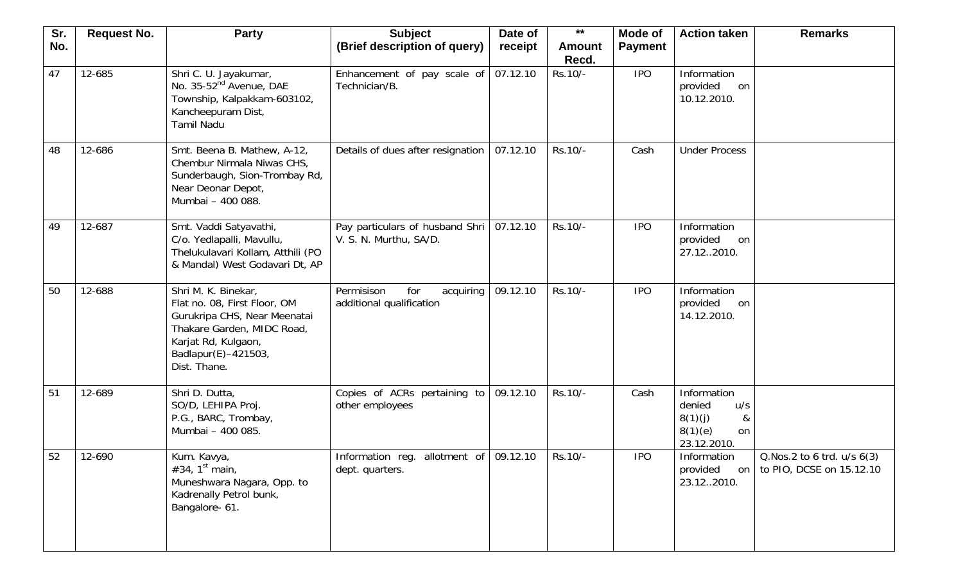| Sr. | <b>Request No.</b> | <b>Party</b>                                                                                                                                                                    | <b>Subject</b>                                                     | Date of  | $***$                  | Mode of        | <b>Action taken</b>                                                          | <b>Remarks</b>                                         |
|-----|--------------------|---------------------------------------------------------------------------------------------------------------------------------------------------------------------------------|--------------------------------------------------------------------|----------|------------------------|----------------|------------------------------------------------------------------------------|--------------------------------------------------------|
| No. |                    |                                                                                                                                                                                 | (Brief description of query)                                       | receipt  | <b>Amount</b><br>Recd. | <b>Payment</b> |                                                                              |                                                        |
| 47  | 12-685             | Shri C. U. Jayakumar,<br>No. 35-52 <sup>nd</sup> Avenue, DAE<br>Township, Kalpakkam-603102,<br>Kancheepuram Dist,<br><b>Tamil Nadu</b>                                          | Enhancement of pay scale of<br>Technician/B.                       | 07.12.10 | Rs.10/-                | <b>IPO</b>     | Information<br>provided<br>on<br>10.12.2010.                                 |                                                        |
| 48  | 12-686             | Smt. Beena B. Mathew, A-12,<br>Chembur Nirmala Niwas CHS,<br>Sunderbaugh, Sion-Trombay Rd,<br>Near Deonar Depot,<br>Mumbai - 400 088.                                           | Details of dues after resignation                                  | 07.12.10 | Rs.10/-                | Cash           | <b>Under Process</b>                                                         |                                                        |
| 49  | 12-687             | Smt. Vaddi Satyavathi,<br>C/o. Yedlapalli, Mavullu,<br>Thelukulavari Kollam, Atthili (PO<br>& Mandal) West Godavari Dt, AP                                                      | Pay particulars of husband Shri<br>V. S. N. Murthu, SA/D.          | 07.12.10 | Rs.10/-                | <b>IPO</b>     | Information<br>provided<br>on<br>27.122010.                                  |                                                        |
| 50  | 12-688             | Shri M. K. Binekar,<br>Flat no. 08, First Floor, OM<br>Gurukripa CHS, Near Meenatai<br>Thakare Garden, MIDC Road,<br>Karjat Rd, Kulgaon,<br>Badlapur(E)-421503,<br>Dist. Thane. | Permisison<br>for<br>acquiring<br>additional qualification         | 09.12.10 | Rs.10/-                | <b>IPO</b>     | Information<br>provided<br>on<br>14.12.2010.                                 |                                                        |
| 51  | 12-689             | Shri D. Dutta,<br>SO/D, LEHIPA Proj.<br>P.G., BARC, Trombay,<br>Mumbai - 400 085.                                                                                               | Copies of ACRs pertaining to<br>other employees                    | 09.12.10 | Rs.10/-                | Cash           | Information<br>denied<br>u/s<br>8(1)(j)<br>&<br>8(1)(e)<br>on<br>23.12.2010. |                                                        |
| 52  | $12-690$           | Kum. Kavya,<br>#34, $1^{\text{st}}$ main,<br>Muneshwara Nagara, Opp. to<br>Kadrenally Petrol bunk,<br>Bangalore- 61.                                                            | Information reg. allotment of $\sqrt{09.12.10}$<br>dept. quarters. |          | Rs.10/-                | <b>IPO</b>     | Information<br>provided<br>on<br>23.122010.                                  | Q.Nos.2 to 6 trd. u/s 6(3)<br>to PIO, DCSE on 15.12.10 |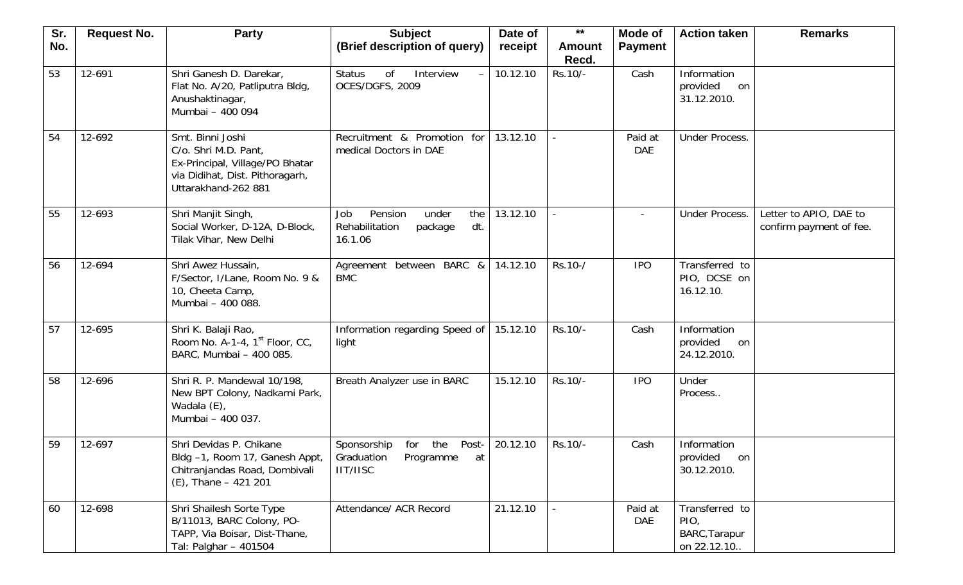| Sr. | <b>Request No.</b> | <b>Party</b>                                                                                                                          | <b>Subject</b>                                                                      | Date of  | $***$                  | Mode of               | <b>Action taken</b>                                    | <b>Remarks</b>                                    |
|-----|--------------------|---------------------------------------------------------------------------------------------------------------------------------------|-------------------------------------------------------------------------------------|----------|------------------------|-----------------------|--------------------------------------------------------|---------------------------------------------------|
| No. |                    |                                                                                                                                       | (Brief description of query)                                                        | receipt  | <b>Amount</b><br>Recd. | <b>Payment</b>        |                                                        |                                                   |
| 53  | 12-691             | Shri Ganesh D. Darekar,<br>Flat No. A/20, Patliputra Bldg,<br>Anushaktinagar,<br>Mumbai - 400 094                                     | <b>Status</b><br>of<br>Interview<br>$\overline{\phantom{m}}$<br>OCES/DGFS, 2009     | 10.12.10 | Rs.10/-                | Cash                  | Information<br>provided<br>on<br>31.12.2010.           |                                                   |
| 54  | 12-692             | Smt. Binni Joshi<br>C/o. Shri M.D. Pant,<br>Ex-Principal, Village/PO Bhatar<br>via Didihat, Dist. Pithoragarh,<br>Uttarakhand-262 881 | Recruitment & Promotion for<br>medical Doctors in DAE                               | 13.12.10 |                        | Paid at<br><b>DAE</b> | <b>Under Process.</b>                                  |                                                   |
| 55  | 12-693             | Shri Manjit Singh,<br>Social Worker, D-12A, D-Block,<br>Tilak Vihar, New Delhi                                                        | Pension<br>under<br>Job<br>the<br>Rehabilitation<br>dt.<br>package<br>16.1.06       | 13.12.10 |                        |                       | Under Process.                                         | Letter to APIO, DAE to<br>confirm payment of fee. |
| 56  | 12-694             | Shri Awez Hussain,<br>F/Sector, I/Lane, Room No. 9 &<br>10, Cheeta Camp,<br>Mumbai - 400 088.                                         | Agreement between BARC &<br><b>BMC</b>                                              | 14.12.10 | Rs.10-/                | <b>IPO</b>            | Transferred to<br>PIO, DCSE on<br>16.12.10.            |                                                   |
| 57  | 12-695             | Shri K. Balaji Rao,<br>Room No. A-1-4, $1st$ Floor, CC,<br>BARC, Mumbai - 400 085.                                                    | Information regarding Speed of<br>light                                             | 15.12.10 | Rs.10/-                | Cash                  | Information<br>provided<br>on<br>24.12.2010.           |                                                   |
| 58  | 12-696             | Shri R. P. Mandewal 10/198,<br>New BPT Colony, Nadkarni Park,<br>Wadala (E),<br>Mumbai - 400 037.                                     | Breath Analyzer use in BARC                                                         | 15.12.10 | Rs.10/-                | <b>IPO</b>            | Under<br>Process                                       |                                                   |
| 59  | 12-697             | Shri Devidas P. Chikane<br>Bldg -1, Room 17, Ganesh Appt,<br>Chitranjandas Road, Dombivali<br>$(E)$ , Thane - 421 201                 | Sponsorship<br>for the<br>Post-<br>Graduation<br>Programme<br>at<br><b>IIT/IISC</b> | 20.12.10 | Rs.10/-                | Cash                  | Information<br>provided<br>on<br>30.12.2010.           |                                                   |
| 60  | 12-698             | Shri Shailesh Sorte Type<br>B/11013, BARC Colony, PO-<br>TAPP, Via Boisar, Dist-Thane,<br>Tal: Palghar - 401504                       | Attendance/ ACR Record                                                              | 21.12.10 |                        | Paid at<br><b>DAE</b> | Transferred to<br>PIO,<br>BARC, Tarapur<br>on 22.12.10 |                                                   |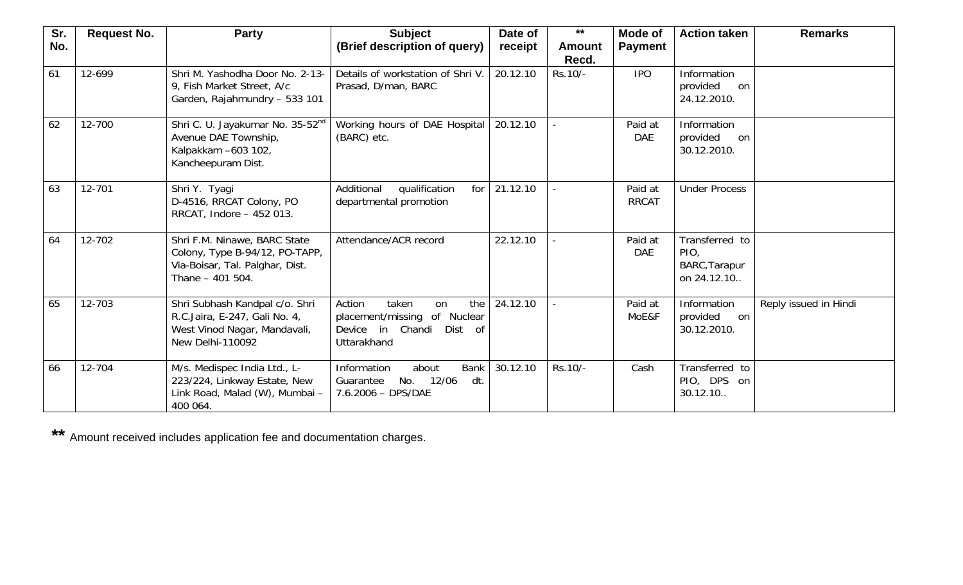| Sr.<br>No. | <b>Request No.</b> | <b>Party</b>                                                                                                          | <b>Subject</b><br>(Brief description of query)                                                          | Date of<br>receipt | $***$<br><b>Amount</b><br>Recd. | Mode of<br><b>Payment</b> | <b>Action taken</b>                                    | <b>Remarks</b>        |
|------------|--------------------|-----------------------------------------------------------------------------------------------------------------------|---------------------------------------------------------------------------------------------------------|--------------------|---------------------------------|---------------------------|--------------------------------------------------------|-----------------------|
| 61         | 12-699             | Shri M. Yashodha Door No. 2-13-<br>9, Fish Market Street, A/c<br>Garden, Rajahmundry - 533 101                        | Details of workstation of Shri V.<br>Prasad, D/man, BARC                                                | 20.12.10           | Rs.10/-                         | <b>IPO</b>                | Information<br>provided<br>on<br>24.12.2010.           |                       |
| 62         | 12-700             | Shri C. U. Jayakumar No. 35-52 <sup>nd</sup><br>Avenue DAE Township,<br>Kalpakkam -603 102,<br>Kancheepuram Dist.     | Working hours of DAE Hospital<br>(BARC) etc.                                                            | 20.12.10           |                                 | Paid at<br><b>DAE</b>     | Information<br>provided<br>on<br>30.12.2010.           |                       |
| 63         | 12-701             | Shri Y. Tyagi<br>D-4516, RRCAT Colony, PO<br>RRCAT, Indore - 452 013.                                                 | Additional<br>qualification<br>for<br>departmental promotion                                            | 21.12.10           |                                 | Paid at<br><b>RRCAT</b>   | <b>Under Process</b>                                   |                       |
| 64         | 12-702             | Shri F.M. Ninawe, BARC State<br>Colony, Type B-94/12, PO-TAPP,<br>Via-Boisar, Tal. Palghar, Dist.<br>Thane - 401 504. | Attendance/ACR record                                                                                   | 22.12.10           |                                 | Paid at<br><b>DAE</b>     | Transferred to<br>PIO,<br>BARC, Tarapur<br>on 24.12.10 |                       |
| 65         | 12-703             | Shri Subhash Kandpal c/o. Shri<br>R.C.Jaira, E-247, Gali No. 4,<br>West Vinod Nagar, Mandavali,<br>New Delhi-110092   | Action<br>taken<br>the<br>on<br>placement/missing of Nuclear<br>Device in Chandi Dist of<br>Uttarakhand | 24.12.10           |                                 | Paid at<br>MoE&F          | Information<br>provided<br>on<br>30.12.2010.           | Reply issued in Hindi |
| 66         | 12-704             | M/s. Medispec India Ltd., L-<br>223/224, Linkway Estate, New<br>Link Road, Malad (W), Mumbai -<br>400 064.            | Information<br>about<br><b>Bank</b><br>12/06<br>dt.<br>Guarantee<br>No.<br>7.6.2006 - DPS/DAE           | 30.12.10           | Rs.10/-                         | Cash                      | Transferred to<br>PIO, DPS on<br>30.12.10              |                       |

**\*\*** Amount received includes application fee and documentation charges.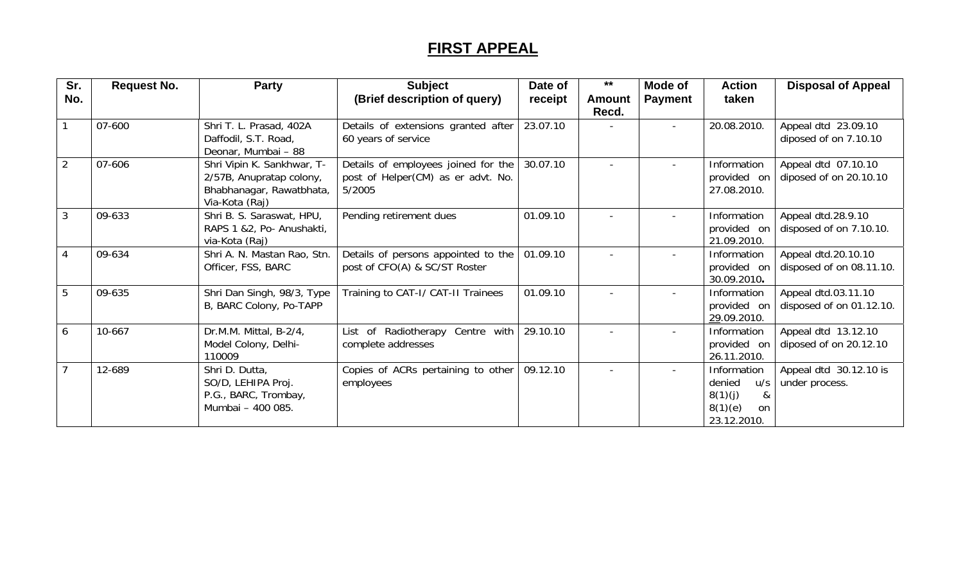## **FIRST APPEAL**

| Sr.<br>No.     | <b>Request No.</b> | <b>Party</b>                                                                                         | <b>Subject</b><br>(Brief description of query)                                      | Date of<br>receipt | $***$<br>Amount<br>Recd. | <b>Mode of</b><br><b>Payment</b> | <b>Action</b><br>taken                                                          | <b>Disposal of Appeal</b>                       |
|----------------|--------------------|------------------------------------------------------------------------------------------------------|-------------------------------------------------------------------------------------|--------------------|--------------------------|----------------------------------|---------------------------------------------------------------------------------|-------------------------------------------------|
|                | 07-600             | Shri T. L. Prasad, 402A<br>Daffodil, S.T. Road,<br>Deonar, Mumbai - 88                               | Details of extensions granted after<br>60 years of service                          | 23.07.10           |                          |                                  | 20.08.2010.                                                                     | Appeal dtd 23.09.10<br>diposed of on 7.10.10    |
| 2              | 07-606             | Shri Vipin K. Sankhwar, T-<br>2/57B, Anupratap colony,<br>Bhabhanagar, Rawatbhata,<br>Via-Kota (Raj) | Details of employees joined for the<br>post of Helper(CM) as er advt. No.<br>5/2005 | 30.07.10           |                          |                                  | Information<br>provided on<br>27.08.2010.                                       | Appeal dtd 07.10.10<br>diposed of on 20.10.10   |
| 3              | 09-633             | Shri B. S. Saraswat, HPU,<br>RAPS 1 &2, Po- Anushakti,<br>via-Kota (Raj)                             | Pending retirement dues                                                             | 01.09.10           |                          |                                  | Information<br>provided on<br>21.09.2010.                                       | Appeal dtd.28.9.10<br>disposed of on 7.10.10.   |
| $\overline{4}$ | 09-634             | Shri A. N. Mastan Rao, Stn.<br>Officer, FSS, BARC                                                    | Details of persons appointed to the<br>post of CFO(A) & SC/ST Roster                | 01.09.10           |                          |                                  | Information<br>provided on<br>30.09.2010.                                       | Appeal dtd.20.10.10<br>disposed of on 08.11.10. |
| 5              | 09-635             | Shri Dan Singh, 98/3, Type<br>B, BARC Colony, Po-TAPP                                                | Training to CAT-I/ CAT-II Trainees                                                  | 01.09.10           |                          |                                  | Information<br>provided on<br>29.09.2010.                                       | Appeal dtd.03.11.10<br>disposed of on 01.12.10. |
| 6              | 10-667             | Dr.M.M. Mittal, B-2/4,<br>Model Colony, Delhi-<br>110009                                             | List of Radiotherapy Centre with<br>complete addresses                              | 29.10.10           |                          | $\overline{\phantom{a}}$         | Information<br>provided on<br>26.11.2010.                                       | Appeal dtd 13.12.10<br>diposed of on 20.12.10   |
|                | 12-689             | Shri D. Dutta,<br>SO/D, LEHIPA Proj.<br>P.G., BARC, Trombay,<br>Mumbai - 400 085.                    | Copies of ACRs pertaining to other<br>employees                                     | 09.12.10           |                          | $\overline{\phantom{a}}$         | Information<br>denied<br>U/S<br>8(1)(j)<br>$\&$<br>8(1)(e)<br>on<br>23.12.2010. | Appeal dtd 30.12.10 is<br>under process.        |